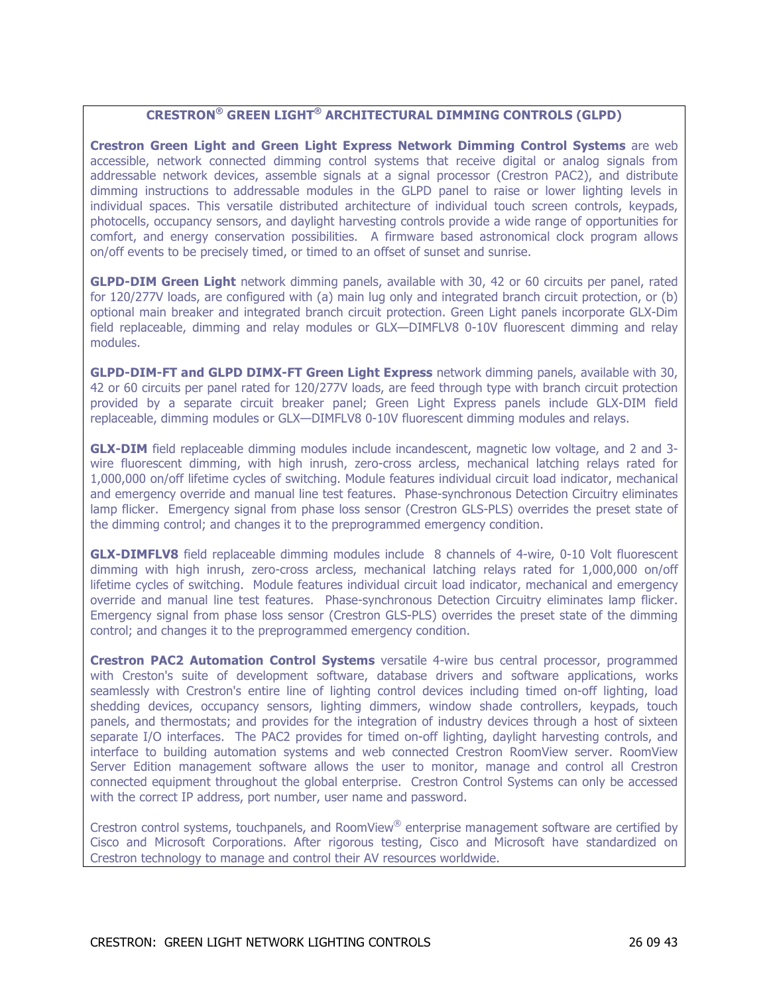# **CRESTRON® GREEN LIGHT® ARCHITECTURAL DIMMING CONTROLS (GLPD)**

**Crestron Green Light and Green Light Express Network Dimming Control Systems** are web accessible, network connected dimming control systems that receive digital or analog signals from addressable network devices, assemble signals at a signal processor (Crestron PAC2), and distribute dimming instructions to addressable modules in the GLPD panel to raise or lower lighting levels in individual spaces. This versatile distributed architecture of individual touch screen controls, keypads, photocells, occupancy sensors, and daylight harvesting controls provide a wide range of opportunities for comfort, and energy conservation possibilities. A firmware based astronomical clock program allows on/off events to be precisely timed, or timed to an offset of sunset and sunrise.

**GLPD-DIM Green Light** network dimming panels, available with 30, 42 or 60 circuits per panel, rated for 120/277V loads, are configured with (a) main lug only and integrated branch circuit protection, or (b) optional main breaker and integrated branch circuit protection. Green Light panels incorporate GLX-Dim field replaceable, dimming and relay modules or GLX—DIMFLV8 0-10V fluorescent dimming and relay modules.

**GLPD-DIM-FT and GLPD DIMX-FT Green Light Express** network dimming panels, available with 30, 42 or 60 circuits per panel rated for 120/277V loads, are feed through type with branch circuit protection provided by a separate circuit breaker panel; Green Light Express panels include GLX-DIM field replaceable, dimming modules or GLX—DIMFLV8 0-10V fluorescent dimming modules and relays.

**GLX-DIM** field replaceable dimming modules include incandescent, magnetic low voltage, and 2 and 3wire fluorescent dimming, with high inrush, zero-cross arcless, mechanical latching relays rated for 1,000,000 on/off lifetime cycles of switching. Module features individual circuit load indicator, mechanical and emergency override and manual line test features. Phase-synchronous Detection Circuitry eliminates lamp flicker. Emergency signal from phase loss sensor (Crestron GLS-PLS) overrides the preset state of the dimming control; and changes it to the preprogrammed emergency condition.

**GLX-DIMFLV8** field replaceable dimming modules include 8 channels of 4-wire, 0-10 Volt fluorescent dimming with high inrush, zero-cross arcless, mechanical latching relays rated for 1,000,000 on/off lifetime cycles of switching. Module features individual circuit load indicator, mechanical and emergency override and manual line test features. Phase-synchronous Detection Circuitry eliminates lamp flicker. Emergency signal from phase loss sensor (Crestron GLS-PLS) overrides the preset state of the dimming control; and changes it to the preprogrammed emergency condition.

**Crestron PAC2 Automation Control Systems** versatile 4-wire bus central processor, programmed with Creston's suite of development software, database drivers and software applications, works seamlessly with Crestron's entire line of lighting control devices including timed on-off lighting, load shedding devices, occupancy sensors, lighting dimmers, window shade controllers, keypads, touch panels, and thermostats; and provides for the integration of industry devices through a host of sixteen separate I/O interfaces. The PAC2 provides for timed on-off lighting, daylight harvesting controls, and interface to building automation systems and web connected Crestron RoomView server. RoomView Server Edition management software allows the user to monitor, manage and control all Crestron connected equipment throughout the global enterprise. Crestron Control Systems can only be accessed with the correct IP address, port number, user name and password.

Crestron control systems, touchpanels, and RoomView<sup>®</sup> enterprise management software are certified by Cisco and Microsoft Corporations. After rigorous testing, Cisco and Microsoft have standardized on Crestron technology to manage and control their AV resources worldwide.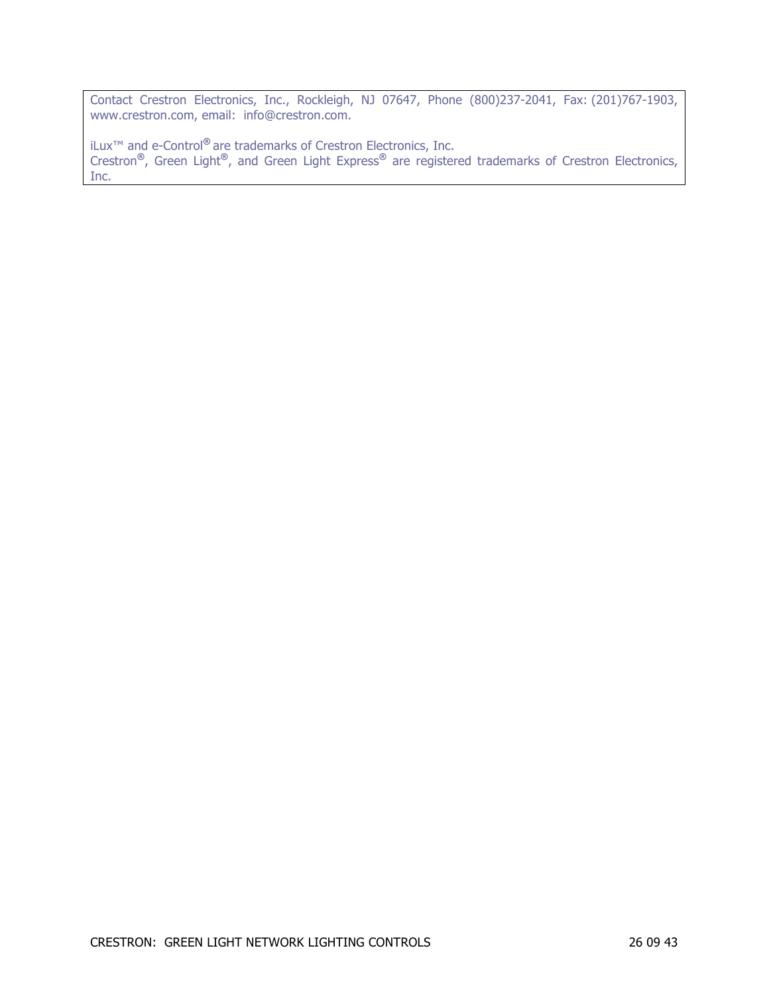Contact Crestron Electronics, Inc., Rockleigh, NJ 07647, Phone (800)237-2041, Fax: (201)767-1903, www.crestron.com, email: info@crestron.com.

iLux™ and e-Control**®** are trademarks of Crestron Electronics, Inc. Crestron**®**, Green Light**®**, and Green Light Express**®** are registered trademarks of Crestron Electronics, Inc.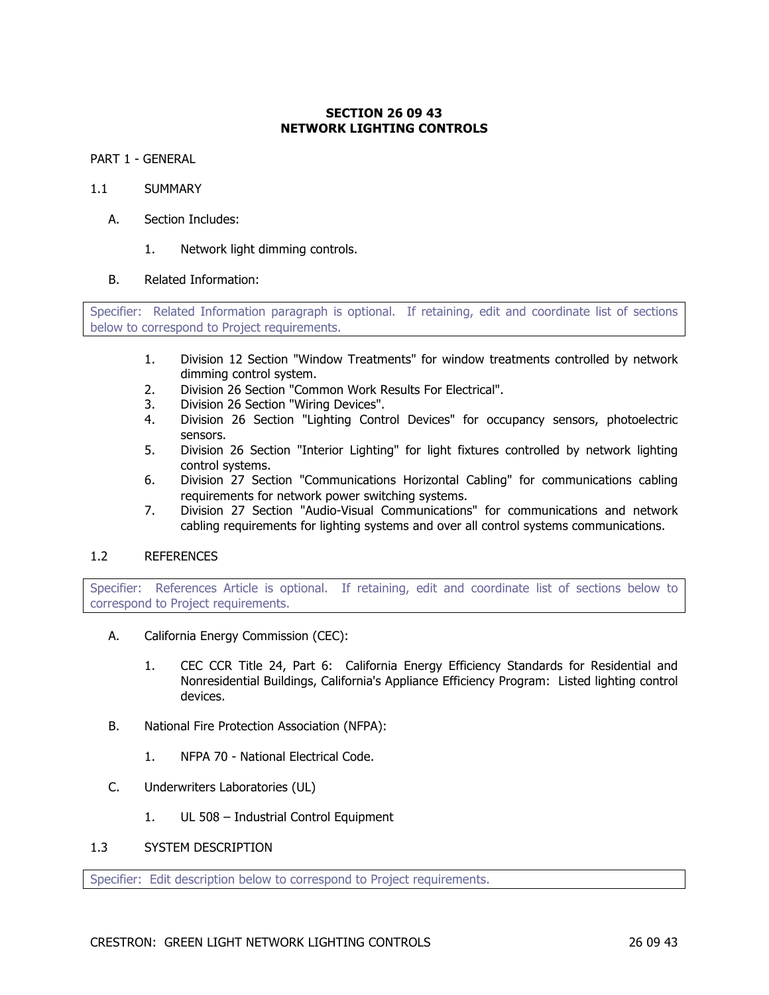## **SECTION 26 09 43 NETWORK LIGHTING CONTROLS**

PART 1 - GENERAL

#### 1.1 SUMMARY

- A. Section Includes:
	- 1. Network light dimming controls.

## B. Related Information:

Specifier: Related Information paragraph is optional. If retaining, edit and coordinate list of sections below to correspond to Project requirements.

- 1. Division 12 Section "Window Treatments" for window treatments controlled by network dimming control system.
- 2. Division 26 Section "Common Work Results For Electrical".
- 3. Division 26 Section "Wiring Devices".
- 4. Division 26 Section "Lighting Control Devices" for occupancy sensors, photoelectric sensors.
- 5. Division 26 Section "Interior Lighting" for light fixtures controlled by network lighting control systems.
- 6. Division 27 Section "Communications Horizontal Cabling" for communications cabling requirements for network power switching systems.
- 7. Division 27 Section "Audio-Visual Communications" for communications and network cabling requirements for lighting systems and over all control systems communications.

## 1.2 REFERENCES

Specifier: References Article is optional. If retaining, edit and coordinate list of sections below to correspond to Project requirements.

- A. California Energy Commission (CEC):
	- 1. CEC CCR Title 24, Part 6: California Energy Efficiency Standards for Residential and Nonresidential Buildings, California's Appliance Efficiency Program: Listed lighting control devices.
- B. National Fire Protection Association (NFPA):
	- 1. NFPA 70 National Electrical Code.
- C. Underwriters Laboratories (UL)
	- 1. UL 508 Industrial Control Equipment
- 1.3 SYSTEM DESCRIPTION

Specifier: Edit description below to correspond to Project requirements.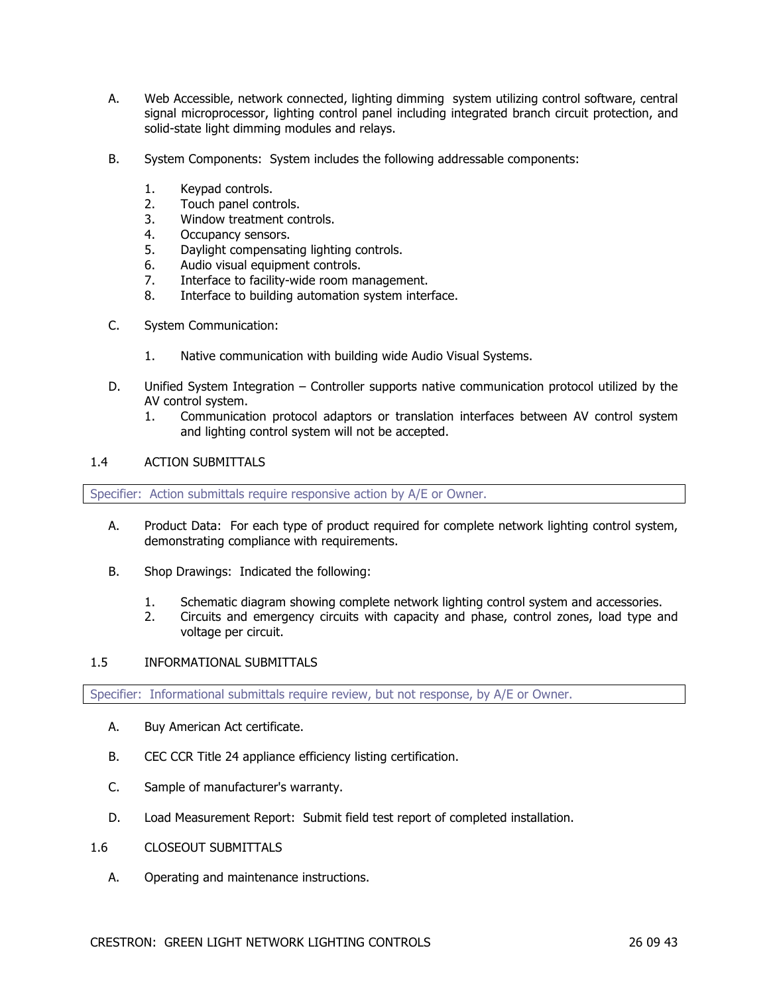- A. Web Accessible, network connected, lighting dimming system utilizing control software, central signal microprocessor, lighting control panel including integrated branch circuit protection, and solid-state light dimming modules and relays.
- B. System Components: System includes the following addressable components:
	- 1. Keypad controls.
	- 2. Touch panel controls.
	- 3. Window treatment controls.
	- 4. Occupancy sensors.
	- 5. Daylight compensating lighting controls.
	- 6. Audio visual equipment controls.
	- 7. Interface to facility-wide room management.
	- 8. Interface to building automation system interface.
- C. System Communication:
	- 1. Native communication with building wide Audio Visual Systems.
- D. Unified System Integration Controller supports native communication protocol utilized by the AV control system.
	- 1. Communication protocol adaptors or translation interfaces between AV control system and lighting control system will not be accepted.

## 1.4 ACTION SUBMITTALS

Specifier: Action submittals require responsive action by A/E or Owner.

- A. Product Data: For each type of product required for complete network lighting control system, demonstrating compliance with requirements.
- B. Shop Drawings: Indicated the following:
	- 1. Schematic diagram showing complete network lighting control system and accessories.
	- 2. Circuits and emergency circuits with capacity and phase, control zones, load type and voltage per circuit.

## 1.5 INFORMATIONAL SUBMITTALS

Specifier: Informational submittals require review, but not response, by A/E or Owner.

- A. Buy American Act certificate.
- B. CEC CCR Title 24 appliance efficiency listing certification.
- C. Sample of manufacturer's warranty.
- D. Load Measurement Report: Submit field test report of completed installation.
- 1.6 CLOSEOUT SUBMITTALS
	- A. Operating and maintenance instructions.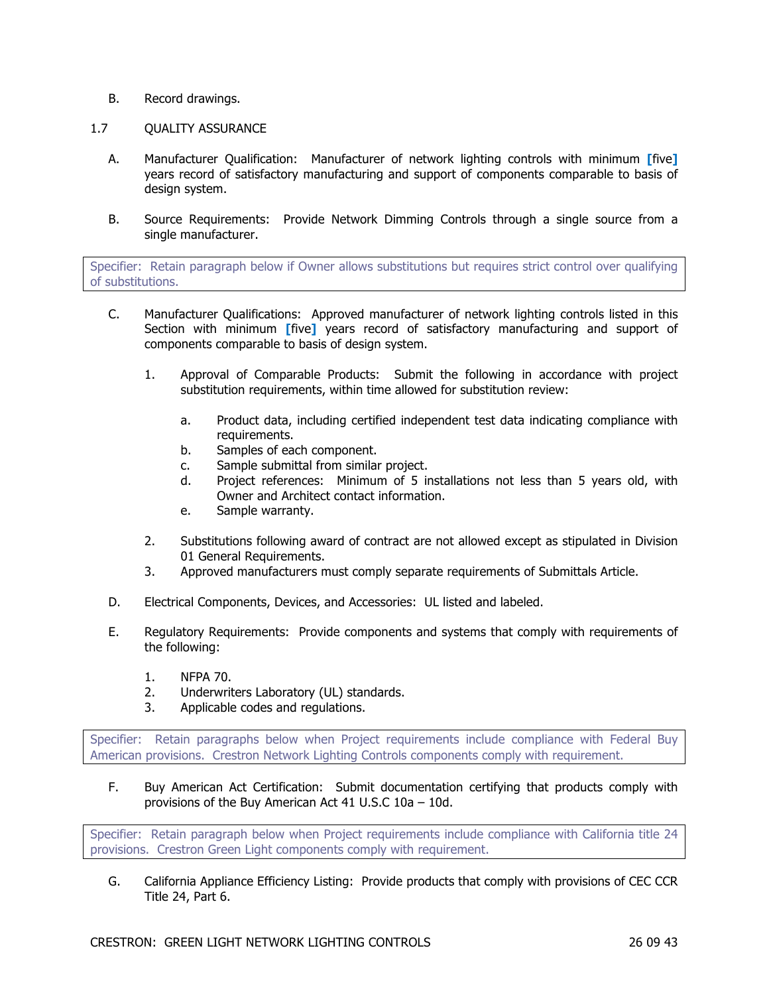- B. Record drawings.
- 1.7 QUALITY ASSURANCE
	- A. Manufacturer Qualification: Manufacturer of network lighting controls with minimum **[**five**]** years record of satisfactory manufacturing and support of components comparable to basis of design system.
	- B. Source Requirements: Provide Network Dimming Controls through a single source from a single manufacturer.

Specifier: Retain paragraph below if Owner allows substitutions but requires strict control over qualifying of substitutions.

- C. Manufacturer Qualifications: Approved manufacturer of network lighting controls listed in this Section with minimum **[**five**]** years record of satisfactory manufacturing and support of components comparable to basis of design system.
	- 1. Approval of Comparable Products: Submit the following in accordance with project substitution requirements, within time allowed for substitution review:
		- a. Product data, including certified independent test data indicating compliance with requirements.
		- b. Samples of each component.
		- c. Sample submittal from similar project.
		- d. Project references: Minimum of 5 installations not less than 5 years old, with Owner and Architect contact information.
		- e. Sample warranty.
	- 2. Substitutions following award of contract are not allowed except as stipulated in Division 01 General Requirements.
	- 3. Approved manufacturers must comply separate requirements of Submittals Article.
- D. Electrical Components, Devices, and Accessories: UL listed and labeled.
- E. Regulatory Requirements: Provide components and systems that comply with requirements of the following:
	- 1. NFPA 70.
	- 2. Underwriters Laboratory (UL) standards.
	- 3. Applicable codes and regulations.

Specifier: Retain paragraphs below when Project requirements include compliance with Federal Buy American provisions. Crestron Network Lighting Controls components comply with requirement.

F. Buy American Act Certification: Submit documentation certifying that products comply with provisions of the Buy American Act 41 U.S.C 10a – 10d.

Specifier: Retain paragraph below when Project requirements include compliance with California title 24 provisions. Crestron Green Light components comply with requirement.

G. California Appliance Efficiency Listing: Provide products that comply with provisions of CEC CCR Title 24, Part 6.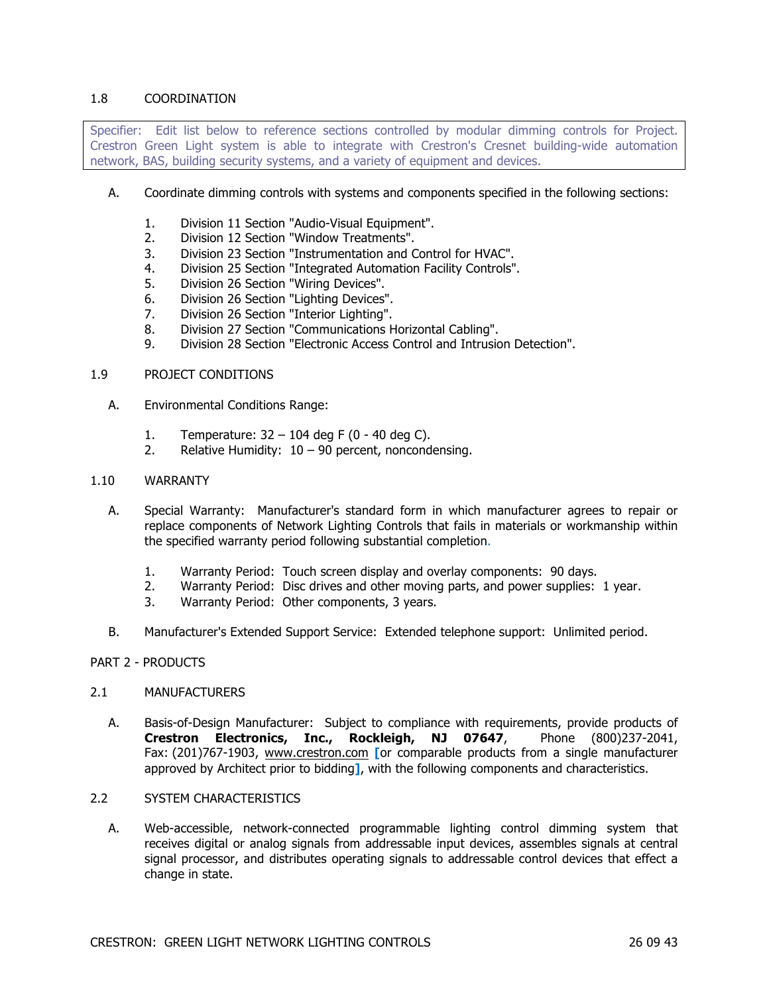## 1.8 COORDINATION

Specifier: Edit list below to reference sections controlled by modular dimming controls for Project. Crestron Green Light system is able to integrate with Crestron's Cresnet building-wide automation network, BAS, building security systems, and a variety of equipment and devices.

- A. Coordinate dimming controls with systems and components specified in the following sections:
	- 1. Division 11 Section "Audio-Visual Equipment".
	- 2. Division 12 Section "Window Treatments".
	- 3. Division 23 Section "Instrumentation and Control for HVAC".
	- 4. Division 25 Section "Integrated Automation Facility Controls".
	- 5. Division 26 Section "Wiring Devices".
	- 6. Division 26 Section "Lighting Devices".
	- 7. Division 26 Section "Interior Lighting".
	- 8. Division 27 Section "Communications Horizontal Cabling".
	- 9. Division 28 Section "Electronic Access Control and Intrusion Detection".

#### 1.9 PROJECT CONDITIONS

- A. Environmental Conditions Range:
	- 1. Temperature: 32 104 deg F (0 40 deg C).
	- 2. Relative Humidity:  $10 90$  percent, noncondensing.

#### 1.10 WARRANTY

- A. Special Warranty: Manufacturer's standard form in which manufacturer agrees to repair or replace components of Network Lighting Controls that fails in materials or workmanship within the specified warranty period following substantial completion.
	- 1. Warranty Period: Touch screen display and overlay components: 90 days.
	- 2. Warranty Period: Disc drives and other moving parts, and power supplies: 1 year.
	- 3. Warranty Period: Other components, 3 years.
- B. Manufacturer's Extended Support Service: Extended telephone support: Unlimited period.

#### PART 2 - PRODUCTS

#### 2.1 MANUFACTURERS

- A. Basis-of-Design Manufacturer: Subject to compliance with requirements, provide products of **Crestron Electronics, Inc., Rockleigh, NJ 07647**, Phone (800)237-2041, Fax: (201)767-1903, www.crestron.com **[**or comparable products from a single manufacturer approved by Architect prior to bidding**]**, with the following components and characteristics.
- 2.2 SYSTEM CHARACTERISTICS
	- A. Web-accessible, network-connected programmable lighting control dimming system that receives digital or analog signals from addressable input devices, assembles signals at central signal processor, and distributes operating signals to addressable control devices that effect a change in state.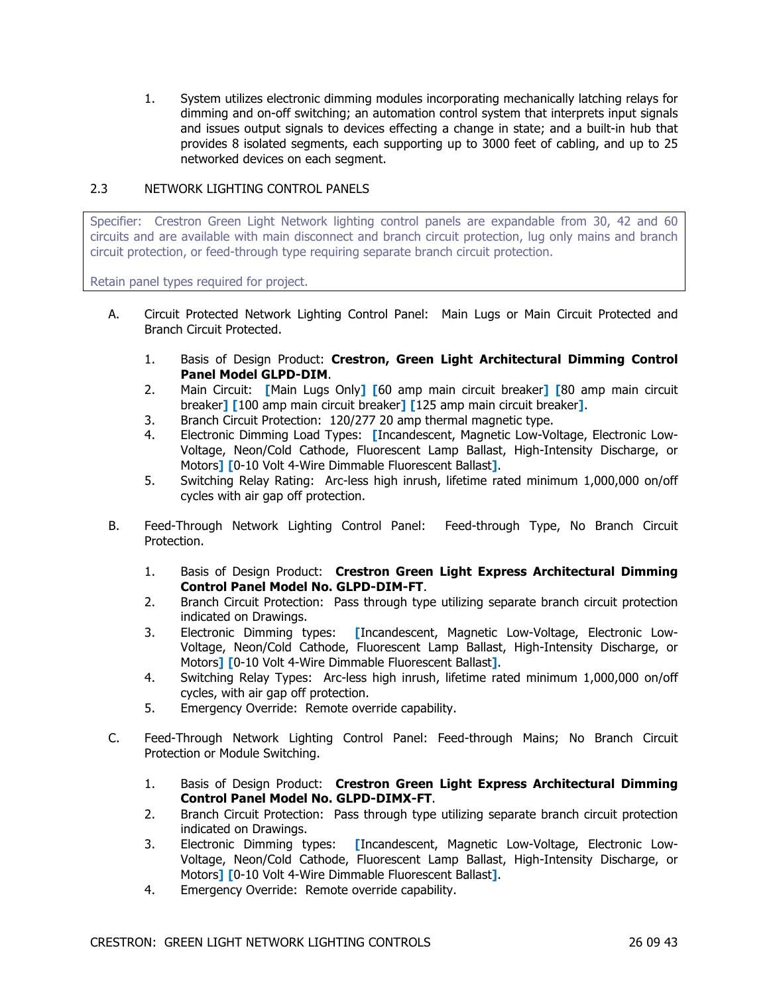1. System utilizes electronic dimming modules incorporating mechanically latching relays for dimming and on-off switching; an automation control system that interprets input signals and issues output signals to devices effecting a change in state; and a built-in hub that provides 8 isolated segments, each supporting up to 3000 feet of cabling, and up to 25 networked devices on each segment.

## 2.3 NETWORK LIGHTING CONTROL PANELS

Specifier: Crestron Green Light Network lighting control panels are expandable from 30, 42 and 60 circuits and are available with main disconnect and branch circuit protection, lug only mains and branch circuit protection, or feed-through type requiring separate branch circuit protection.

Retain panel types required for project.

- A. Circuit Protected Network Lighting Control Panel: Main Lugs or Main Circuit Protected and Branch Circuit Protected.
	- 1. Basis of Design Product: **Crestron, Green Light Architectural Dimming Control Panel Model GLPD-DIM**.
	- 2. Main Circuit: **[**Main Lugs Only**] [**60 amp main circuit breaker**] [**80 amp main circuit breaker**] [**100 amp main circuit breaker**] [**125 amp main circuit breaker**]**.
	- 3. Branch Circuit Protection: 120/277 20 amp thermal magnetic type.
	- 4. Electronic Dimming Load Types: **[**Incandescent, Magnetic Low-Voltage, Electronic Low-Voltage, Neon/Cold Cathode, Fluorescent Lamp Ballast, High-Intensity Discharge, or Motors**] [**0-10 Volt 4-Wire Dimmable Fluorescent Ballast**]**.
	- 5. Switching Relay Rating: Arc-less high inrush, lifetime rated minimum 1,000,000 on/off cycles with air gap off protection.
- B. Feed-Through Network Lighting Control Panel: Feed-through Type, No Branch Circuit Protection.
	- 1. Basis of Design Product: **Crestron Green Light Express Architectural Dimming Control Panel Model No. GLPD-DIM-FT**.
	- 2. Branch Circuit Protection: Pass through type utilizing separate branch circuit protection indicated on Drawings.
	- 3. Electronic Dimming types: **[**Incandescent, Magnetic Low-Voltage, Electronic Low-Voltage, Neon/Cold Cathode, Fluorescent Lamp Ballast, High-Intensity Discharge, or Motors**] [**0-10 Volt 4-Wire Dimmable Fluorescent Ballast**]**.
	- 4. Switching Relay Types: Arc-less high inrush, lifetime rated minimum 1,000,000 on/off cycles, with air gap off protection.
	- 5. Emergency Override: Remote override capability.
- C. Feed-Through Network Lighting Control Panel: Feed-through Mains; No Branch Circuit Protection or Module Switching.
	- 1. Basis of Design Product: **Crestron Green Light Express Architectural Dimming Control Panel Model No. GLPD-DIMX-FT**.
	- 2. Branch Circuit Protection: Pass through type utilizing separate branch circuit protection indicated on Drawings.
	- 3. Electronic Dimming types: **[**Incandescent, Magnetic Low-Voltage, Electronic Low-Voltage, Neon/Cold Cathode, Fluorescent Lamp Ballast, High-Intensity Discharge, or Motors**] [**0-10 Volt 4-Wire Dimmable Fluorescent Ballast**]**.
	- 4. Emergency Override: Remote override capability.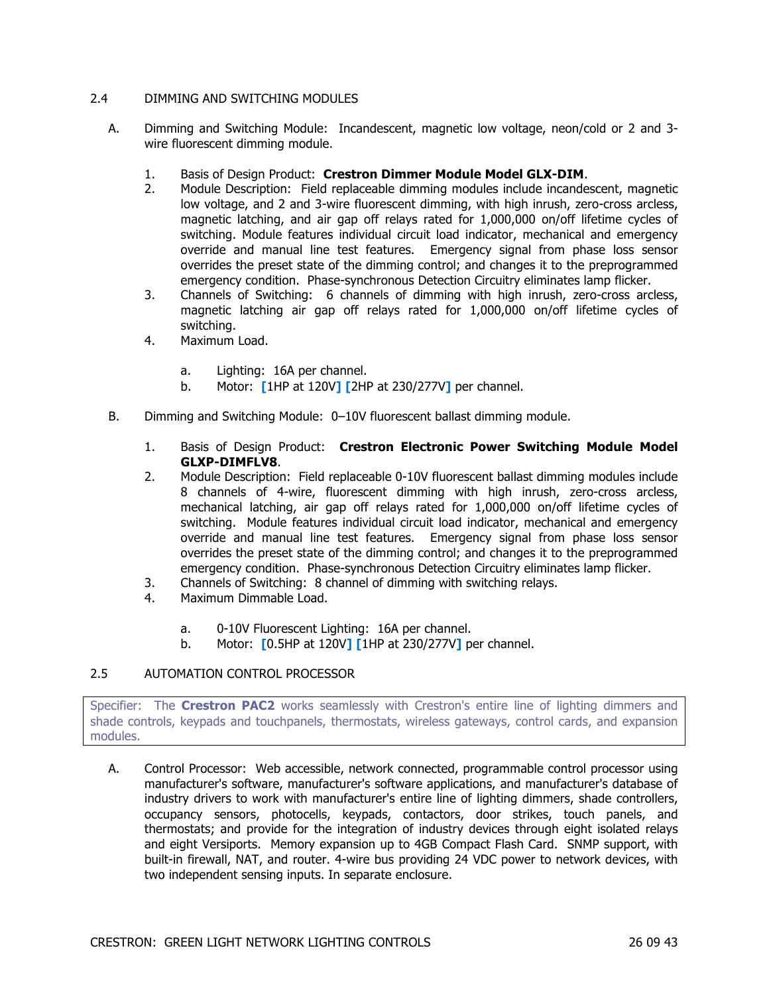## 2.4 DIMMING AND SWITCHING MODULES

- A. Dimming and Switching Module: Incandescent, magnetic low voltage, neon/cold or 2 and 3 wire fluorescent dimming module.
	- 1. Basis of Design Product: **Crestron Dimmer Module Model GLX-DIM**.
	- 2. Module Description: Field replaceable dimming modules include incandescent, magnetic low voltage, and 2 and 3-wire fluorescent dimming, with high inrush, zero-cross arcless, magnetic latching, and air gap off relays rated for 1,000,000 on/off lifetime cycles of switching. Module features individual circuit load indicator, mechanical and emergency override and manual line test features. Emergency signal from phase loss sensor overrides the preset state of the dimming control; and changes it to the preprogrammed emergency condition. Phase-synchronous Detection Circuitry eliminates lamp flicker.
	- 3. Channels of Switching: 6 channels of dimming with high inrush, zero-cross arcless, magnetic latching air gap off relays rated for 1,000,000 on/off lifetime cycles of switching.
	- 4. Maximum Load.
		- a. Lighting: 16A per channel.
		- b. Motor: **[**1HP at 120V**] [**2HP at 230/277V**]** per channel.
- B. Dimming and Switching Module: 0–10V fluorescent ballast dimming module.
	- 1. Basis of Design Product: **Crestron Electronic Power Switching Module Model GLXP-DIMFLV8**.
	- 2. Module Description: Field replaceable 0-10V fluorescent ballast dimming modules include 8 channels of 4-wire, fluorescent dimming with high inrush, zero-cross arcless, mechanical latching, air gap off relays rated for 1,000,000 on/off lifetime cycles of switching. Module features individual circuit load indicator, mechanical and emergency override and manual line test features. Emergency signal from phase loss sensor overrides the preset state of the dimming control; and changes it to the preprogrammed emergency condition. Phase-synchronous Detection Circuitry eliminates lamp flicker.
	- 3. Channels of Switching: 8 channel of dimming with switching relays.
	- 4. Maximum Dimmable Load.
		- a. 0-10V Fluorescent Lighting: 16A per channel.
		- b. Motor: **[**0.5HP at 120V**] [**1HP at 230/277V**]** per channel.

## 2.5 AUTOMATION CONTROL PROCESSOR

Specifier: The **Crestron PAC2** works seamlessly with Crestron's entire line of lighting dimmers and shade controls, keypads and touchpanels, thermostats, wireless gateways, control cards, and expansion modules.

A. Control Processor: Web accessible, network connected, programmable control processor using manufacturer's software, manufacturer's software applications, and manufacturer's database of industry drivers to work with manufacturer's entire line of lighting dimmers, shade controllers, occupancy sensors, photocells, keypads, contactors, door strikes, touch panels, and thermostats; and provide for the integration of industry devices through eight isolated relays and eight Versiports. Memory expansion up to 4GB Compact Flash Card. SNMP support, with built-in firewall, NAT, and router. 4-wire bus providing 24 VDC power to network devices, with two independent sensing inputs. In separate enclosure.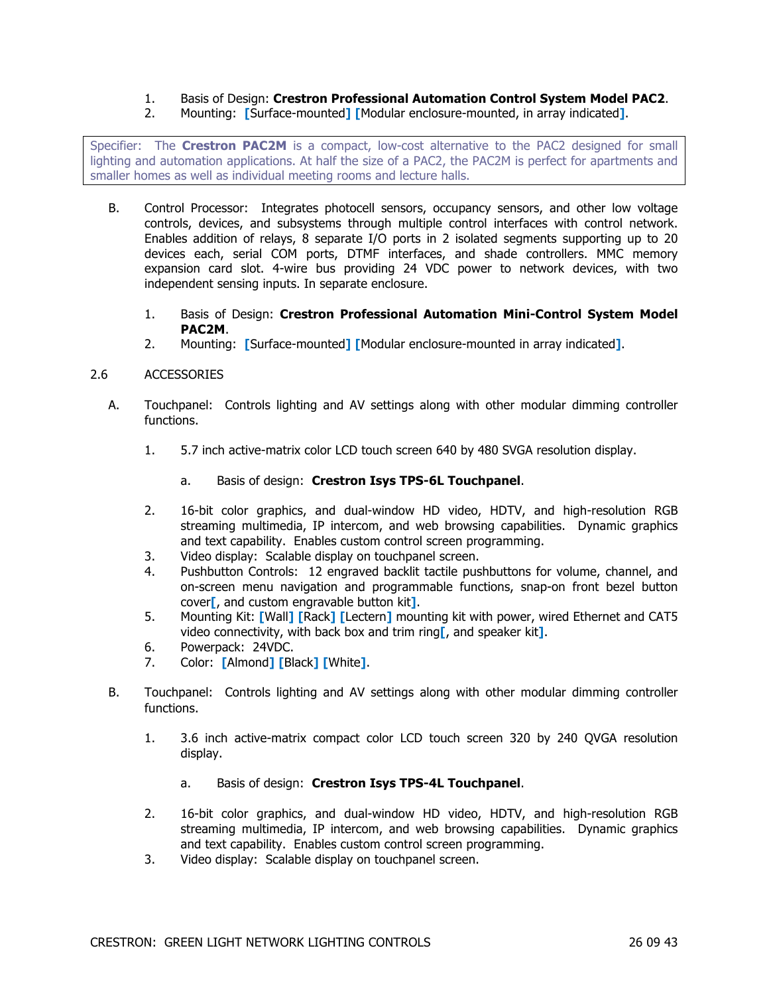## 1. Basis of Design: **Crestron Professional Automation Control System Model PAC2**.

2. Mounting: **[**Surface-mounted**] [**Modular enclosure-mounted, in array indicated**]**.

Specifier: The **Crestron PAC2M** is a compact, low-cost alternative to the PAC2 designed for small lighting and automation applications. At half the size of a PAC2, the PAC2M is perfect for apartments and smaller homes as well as individual meeting rooms and lecture halls.

- B. Control Processor: Integrates photocell sensors, occupancy sensors, and other low voltage controls, devices, and subsystems through multiple control interfaces with control network. Enables addition of relays, 8 separate I/O ports in 2 isolated segments supporting up to 20 devices each, serial COM ports, DTMF interfaces, and shade controllers. MMC memory expansion card slot. 4-wire bus providing 24 VDC power to network devices, with two independent sensing inputs. In separate enclosure.
	- 1. Basis of Design: **Crestron Professional Automation Mini-Control System Model PAC2M**.
	- 2. Mounting: **[**Surface-mounted**] [**Modular enclosure-mounted in array indicated**]**.

## 2.6 ACCESSORIES

- A. Touchpanel: Controls lighting and AV settings along with other modular dimming controller functions.
	- 1. 5.7 inch active-matrix color LCD touch screen 640 by 480 SVGA resolution display.
		- a. Basis of design: **Crestron Isys TPS-6L Touchpanel**.
	- 2. 16-bit color graphics, and dual-window HD video, HDTV, and high-resolution RGB streaming multimedia, IP intercom, and web browsing capabilities. Dynamic graphics and text capability. Enables custom control screen programming.
	- 3. Video display: Scalable display on touchpanel screen.
	- 4. Pushbutton Controls: 12 engraved backlit tactile pushbuttons for volume, channel, and on-screen menu navigation and programmable functions, snap-on front bezel button cover**[**, and custom engravable button kit**]**.
	- 5. Mounting Kit: **[**Wall**] [**Rack**] [**Lectern**]** mounting kit with power, wired Ethernet and CAT5 video connectivity, with back box and trim ring**[**, and speaker kit**]**.
	- 6. Powerpack: 24VDC.
	- 7. Color: **[**Almond**] [**Black**] [**White**]**.
- B. Touchpanel: Controls lighting and AV settings along with other modular dimming controller functions.
	- 1. 3.6 inch active-matrix compact color LCD touch screen 320 by 240 QVGA resolution display.
		- a. Basis of design: **Crestron Isys TPS-4L Touchpanel**.
	- 2. 16-bit color graphics, and dual-window HD video, HDTV, and high-resolution RGB streaming multimedia, IP intercom, and web browsing capabilities. Dynamic graphics and text capability. Enables custom control screen programming.
	- 3. Video display: Scalable display on touchpanel screen.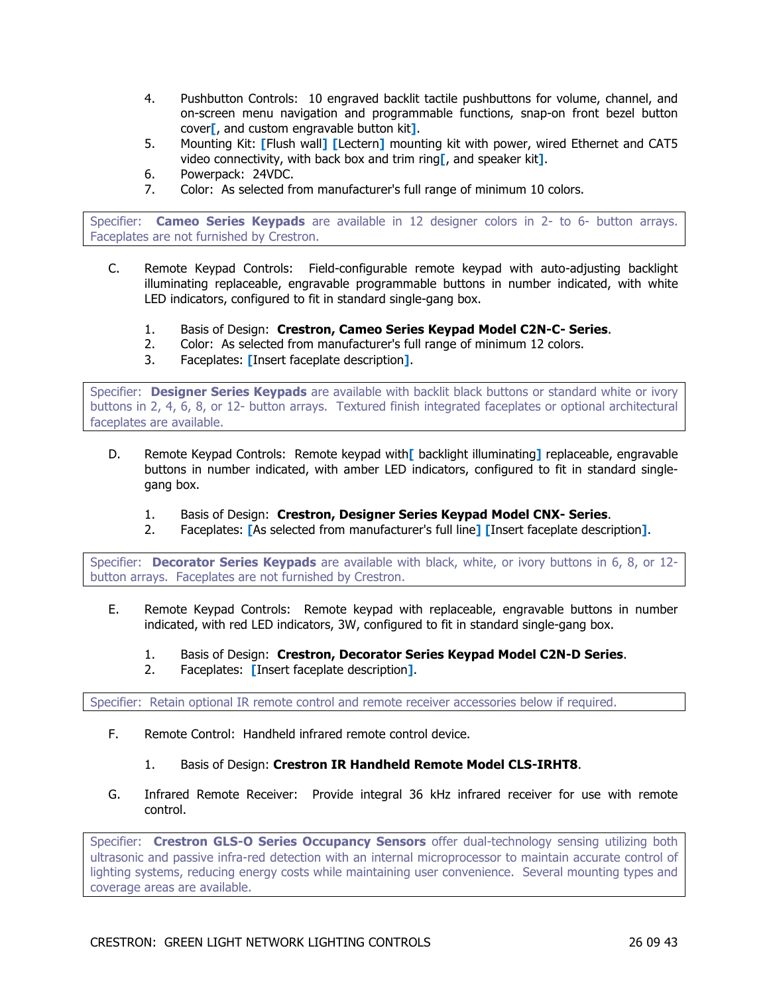- 4. Pushbutton Controls: 10 engraved backlit tactile pushbuttons for volume, channel, and on-screen menu navigation and programmable functions, snap-on front bezel button cover**[**, and custom engravable button kit**]**.
- 5. Mounting Kit: **[**Flush wall**] [**Lectern**]** mounting kit with power, wired Ethernet and CAT5 video connectivity, with back box and trim ring**[**, and speaker kit**]**.
- 6. Powerpack: 24VDC.
- 7. Color: As selected from manufacturer's full range of minimum 10 colors.

Specifier: **Cameo Series Keypads** are available in 12 designer colors in 2- to 6- button arrays. Faceplates are not furnished by Crestron.

- C. Remote Keypad Controls: Field-configurable remote keypad with auto-adjusting backlight illuminating replaceable, engravable programmable buttons in number indicated, with white LED indicators, configured to fit in standard single-gang box.
	- 1. Basis of Design: **Crestron, Cameo Series Keypad Model C2N-C- Series**.
	- 2. Color: As selected from manufacturer's full range of minimum 12 colors.
	- 3. Faceplates: **[**Insert faceplate description**]**.

Specifier: **Designer Series Keypads** are available with backlit black buttons or standard white or ivory buttons in 2, 4, 6, 8, or 12- button arrays. Textured finish integrated faceplates or optional architectural faceplates are available.

- D. Remote Keypad Controls: Remote keypad with**[** backlight illuminating**]** replaceable, engravable buttons in number indicated, with amber LED indicators, configured to fit in standard singlegang box.
	- 1. Basis of Design: **Crestron, Designer Series Keypad Model CNX- Series**.
	- 2. Faceplates: **[**As selected from manufacturer's full line**] [**Insert faceplate description**]**.

Specifier: **Decorator Series Keypads** are available with black, white, or ivory buttons in 6, 8, or 12 button arrays. Faceplates are not furnished by Crestron.

- E. Remote Keypad Controls: Remote keypad with replaceable, engravable buttons in number indicated, with red LED indicators, 3W, configured to fit in standard single-gang box.
	- 1. Basis of Design: **Crestron, Decorator Series Keypad Model C2N-D Series**.
	- 2. Faceplates: **[**Insert faceplate description**]**.

Specifier: Retain optional IR remote control and remote receiver accessories below if required.

- F. Remote Control: Handheld infrared remote control device.
	- 1. Basis of Design: **Crestron IR Handheld Remote Model CLS-IRHT8**.
- G. Infrared Remote Receiver: Provide integral 36 kHz infrared receiver for use with remote control.

Specifier: **Crestron GLS-O Series Occupancy Sensors** offer dual-technology sensing utilizing both ultrasonic and passive infra-red detection with an internal microprocessor to maintain accurate control of lighting systems, reducing energy costs while maintaining user convenience. Several mounting types and coverage areas are available.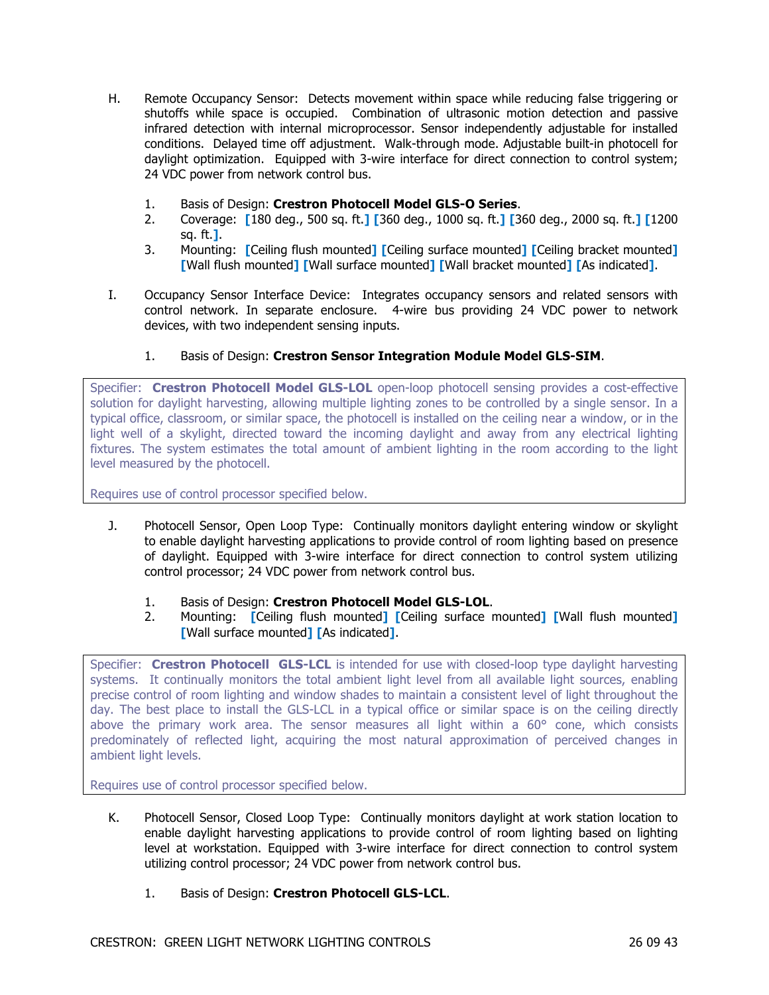- H. Remote Occupancy Sensor: Detects movement within space while reducing false triggering or shutoffs while space is occupied. Combination of ultrasonic motion detection and passive infrared detection with internal microprocessor. Sensor independently adjustable for installed conditions. Delayed time off adjustment. Walk-through mode. Adjustable built-in photocell for daylight optimization. Equipped with 3-wire interface for direct connection to control system; 24 VDC power from network control bus.
	- 1. Basis of Design: **Crestron Photocell Model GLS-O Series**.
	- 2. Coverage: **[**180 deg., 500 sq. ft.**] [**360 deg., 1000 sq. ft.**] [**360 deg., 2000 sq. ft.**] [**1200 sq. ft.**]**.
	- 3. Mounting: **[**Ceiling flush mounted**] [**Ceiling surface mounted**] [**Ceiling bracket mounted**] [**Wall flush mounted**] [**Wall surface mounted**] [**Wall bracket mounted**] [**As indicated**]**.
- I. Occupancy Sensor Interface Device: Integrates occupancy sensors and related sensors with control network. In separate enclosure. 4-wire bus providing 24 VDC power to network devices, with two independent sensing inputs.
	- 1. Basis of Design: **Crestron Sensor Integration Module Model GLS-SIM**.

Specifier: **Crestron Photocell Model GLS-LOL** open-loop photocell sensing provides a cost-effective solution for daylight harvesting, allowing multiple lighting zones to be controlled by a single sensor. In a typical office, classroom, or similar space, the photocell is installed on the ceiling near a window, or in the light well of a skylight, directed toward the incoming daylight and away from any electrical lighting fixtures. The system estimates the total amount of ambient lighting in the room according to the light level measured by the photocell.

Requires use of control processor specified below.

- J. Photocell Sensor, Open Loop Type: Continually monitors daylight entering window or skylight to enable daylight harvesting applications to provide control of room lighting based on presence of daylight. Equipped with 3-wire interface for direct connection to control system utilizing control processor; 24 VDC power from network control bus.
	- 1. Basis of Design: **Crestron Photocell Model GLS-LOL**.
	- 2. Mounting: **[**Ceiling flush mounted**] [**Ceiling surface mounted**] [**Wall flush mounted**] [**Wall surface mounted**] [**As indicated**]**.

Specifier: **Crestron Photocell GLS-LCL** is intended for use with closed-loop type daylight harvesting systems. It continually monitors the total ambient light level from all available light sources, enabling precise control of room lighting and window shades to maintain a consistent level of light throughout the day. The best place to install the GLS-LCL in a typical office or similar space is on the ceiling directly above the primary work area. The sensor measures all light within a 60° cone, which consists predominately of reflected light, acquiring the most natural approximation of perceived changes in ambient light levels.

Requires use of control processor specified below.

- K. Photocell Sensor, Closed Loop Type: Continually monitors daylight at work station location to enable daylight harvesting applications to provide control of room lighting based on lighting level at workstation. Equipped with 3-wire interface for direct connection to control system utilizing control processor; 24 VDC power from network control bus.
	- 1. Basis of Design: **Crestron Photocell GLS-LCL**.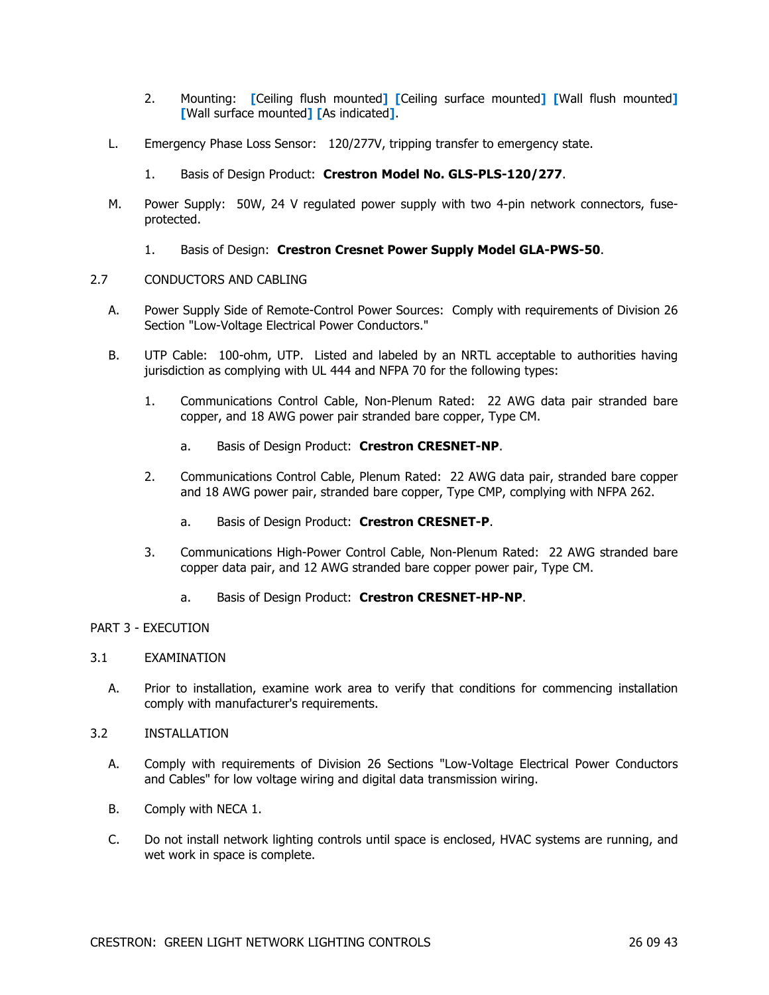- 2. Mounting: **[**Ceiling flush mounted**] [**Ceiling surface mounted**] [**Wall flush mounted**] [**Wall surface mounted**] [**As indicated**]**.
- L. Emergency Phase Loss Sensor: 120/277V, tripping transfer to emergency state.
	- 1. Basis of Design Product: **Crestron Model No. GLS-PLS-120/277**.
- M. Power Supply: 50W, 24 V regulated power supply with two 4-pin network connectors, fuseprotected.
	- 1. Basis of Design: **Crestron Cresnet Power Supply Model GLA-PWS-50**.

## 2.7 CONDUCTORS AND CABLING

- A. Power Supply Side of Remote-Control Power Sources: Comply with requirements of Division 26 Section "Low-Voltage Electrical Power Conductors."
- B. UTP Cable: 100-ohm, UTP. Listed and labeled by an NRTL acceptable to authorities having jurisdiction as complying with UL 444 and NFPA 70 for the following types:
	- 1. Communications Control Cable, Non-Plenum Rated: 22 AWG data pair stranded bare copper, and 18 AWG power pair stranded bare copper, Type CM.
		- a. Basis of Design Product: **Crestron CRESNET-NP**.
	- 2. Communications Control Cable, Plenum Rated: 22 AWG data pair, stranded bare copper and 18 AWG power pair, stranded bare copper, Type CMP, complying with NFPA 262.
		- a. Basis of Design Product: **Crestron CRESNET-P**.
	- 3. Communications High-Power Control Cable, Non-Plenum Rated: 22 AWG stranded bare copper data pair, and 12 AWG stranded bare copper power pair, Type CM.
		- a. Basis of Design Product: **Crestron CRESNET-HP-NP**.

#### PART 3 - EXECUTION

#### 3.1 EXAMINATION

- A. Prior to installation, examine work area to verify that conditions for commencing installation comply with manufacturer's requirements.
- 3.2 INSTALLATION
	- A. Comply with requirements of Division 26 Sections "Low-Voltage Electrical Power Conductors and Cables" for low voltage wiring and digital data transmission wiring.
	- B. Comply with NECA 1.
	- C. Do not install network lighting controls until space is enclosed, HVAC systems are running, and wet work in space is complete.